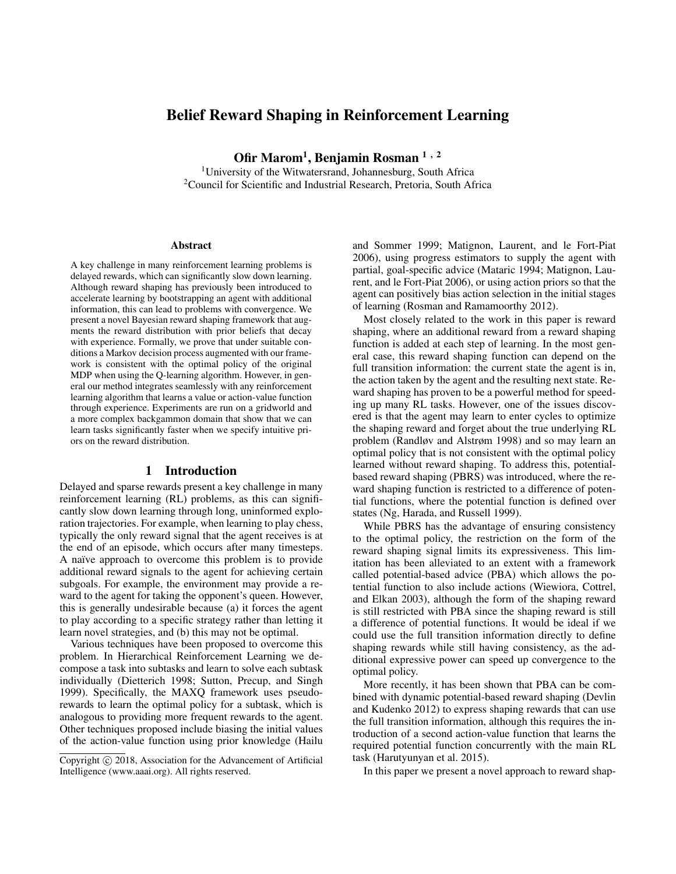# Belief Reward Shaping in Reinforcement Learning

Ofir Marom<sup>1</sup>, Benjamin Rosman <sup>1 , 2</sup>

<sup>1</sup>University of the Witwatersrand, Johannesburg, South Africa <sup>2</sup>Council for Scientific and Industrial Research, Pretoria, South Africa

#### Abstract

A key challenge in many reinforcement learning problems is delayed rewards, which can significantly slow down learning. Although reward shaping has previously been introduced to accelerate learning by bootstrapping an agent with additional information, this can lead to problems with convergence. We present a novel Bayesian reward shaping framework that augments the reward distribution with prior beliefs that decay with experience. Formally, we prove that under suitable conditions a Markov decision process augmented with our framework is consistent with the optimal policy of the original MDP when using the Q-learning algorithm. However, in general our method integrates seamlessly with any reinforcement learning algorithm that learns a value or action-value function through experience. Experiments are run on a gridworld and a more complex backgammon domain that show that we can learn tasks significantly faster when we specify intuitive priors on the reward distribution.

## 1 Introduction

Delayed and sparse rewards present a key challenge in many reinforcement learning (RL) problems, as this can significantly slow down learning through long, uninformed exploration trajectories. For example, when learning to play chess, typically the only reward signal that the agent receives is at the end of an episode, which occurs after many timesteps. A naïve approach to overcome this problem is to provide additional reward signals to the agent for achieving certain subgoals. For example, the environment may provide a reward to the agent for taking the opponent's queen. However, this is generally undesirable because (a) it forces the agent to play according to a specific strategy rather than letting it learn novel strategies, and (b) this may not be optimal.

Various techniques have been proposed to overcome this problem. In Hierarchical Reinforcement Learning we decompose a task into subtasks and learn to solve each subtask individually (Dietterich 1998; Sutton, Precup, and Singh 1999). Specifically, the MAXQ framework uses pseudorewards to learn the optimal policy for a subtask, which is analogous to providing more frequent rewards to the agent. Other techniques proposed include biasing the initial values of the action-value function using prior knowledge (Hailu

and Sommer 1999; Matignon, Laurent, and le Fort-Piat 2006), using progress estimators to supply the agent with partial, goal-specific advice (Mataric 1994; Matignon, Laurent, and le Fort-Piat 2006), or using action priors so that the agent can positively bias action selection in the initial stages of learning (Rosman and Ramamoorthy 2012).

Most closely related to the work in this paper is reward shaping, where an additional reward from a reward shaping function is added at each step of learning. In the most general case, this reward shaping function can depend on the full transition information: the current state the agent is in, the action taken by the agent and the resulting next state. Reward shaping has proven to be a powerful method for speeding up many RL tasks. However, one of the issues discovered is that the agent may learn to enter cycles to optimize the shaping reward and forget about the true underlying RL problem (Randløv and Alstrøm 1998) and so may learn an optimal policy that is not consistent with the optimal policy learned without reward shaping. To address this, potentialbased reward shaping (PBRS) was introduced, where the reward shaping function is restricted to a difference of potential functions, where the potential function is defined over states (Ng, Harada, and Russell 1999).

While PBRS has the advantage of ensuring consistency to the optimal policy, the restriction on the form of the reward shaping signal limits its expressiveness. This limitation has been alleviated to an extent with a framework called potential-based advice (PBA) which allows the potential function to also include actions (Wiewiora, Cottrel, and Elkan 2003), although the form of the shaping reward is still restricted with PBA since the shaping reward is still a difference of potential functions. It would be ideal if we could use the full transition information directly to define shaping rewards while still having consistency, as the additional expressive power can speed up convergence to the optimal policy.

More recently, it has been shown that PBA can be combined with dynamic potential-based reward shaping (Devlin and Kudenko 2012) to express shaping rewards that can use the full transition information, although this requires the introduction of a second action-value function that learns the required potential function concurrently with the main RL task (Harutyunyan et al. 2015).

In this paper we present a novel approach to reward shap-

Copyright (c) 2018, Association for the Advancement of Artificial Intelligence (www.aaai.org). All rights reserved.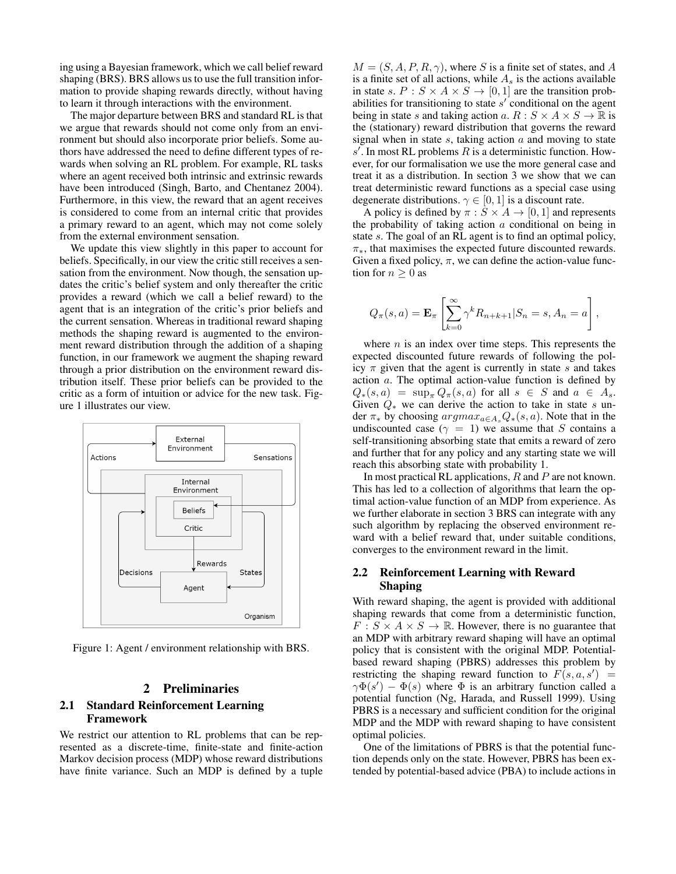ing using a Bayesian framework, which we call belief reward shaping (BRS). BRS allows us to use the full transition information to provide shaping rewards directly, without having to learn it through interactions with the environment.

The major departure between BRS and standard RL is that we argue that rewards should not come only from an environment but should also incorporate prior beliefs. Some authors have addressed the need to define different types of rewards when solving an RL problem. For example, RL tasks where an agent received both intrinsic and extrinsic rewards have been introduced (Singh, Barto, and Chentanez 2004). Furthermore, in this view, the reward that an agent receives is considered to come from an internal critic that provides a primary reward to an agent, which may not come solely from the external environment sensation.

We update this view slightly in this paper to account for beliefs. Specifically, in our view the critic still receives a sensation from the environment. Now though, the sensation updates the critic's belief system and only thereafter the critic provides a reward (which we call a belief reward) to the agent that is an integration of the critic's prior beliefs and the current sensation. Whereas in traditional reward shaping methods the shaping reward is augmented to the environment reward distribution through the addition of a shaping function, in our framework we augment the shaping reward through a prior distribution on the environment reward distribution itself. These prior beliefs can be provided to the critic as a form of intuition or advice for the new task. Figure 1 illustrates our view.



Figure 1: Agent / environment relationship with BRS.

# 2 Preliminaries

# 2.1 Standard Reinforcement Learning Framework

We restrict our attention to RL problems that can be represented as a discrete-time, finite-state and finite-action Markov decision process (MDP) whose reward distributions have finite variance. Such an MDP is defined by a tuple

 $M = (S, A, P, R, \gamma)$ , where S is a finite set of states, and A is a finite set of all actions, while  $A<sub>s</sub>$  is the actions available in state s.  $P : S \times A \times S \rightarrow [0, 1]$  are the transition probabilities for transitioning to state  $s'$  conditional on the agent being in state s and taking action a.  $R : S \times A \times S \rightarrow \mathbb{R}$  is the (stationary) reward distribution that governs the reward signal when in state  $s$ , taking action  $a$  and moving to state  $s'$ . In most RL problems R is a deterministic function. However, for our formalisation we use the more general case and treat it as a distribution. In section 3 we show that we can treat deterministic reward functions as a special case using degenerate distributions.  $\gamma \in [0, 1]$  is a discount rate.

A policy is defined by  $\pi : S \times A \rightarrow [0, 1]$  and represents the probability of taking action  $a$  conditional on being in state s. The goal of an RL agent is to find an optimal policy,  $\pi_*$ , that maximises the expected future discounted rewards. Given a fixed policy,  $\pi$ , we can define the action-value function for  $n \geq 0$  as

$$
Q_{\pi}(s, a) = \mathbf{E}_{\pi} \left[ \sum_{k=0}^{\infty} \gamma^k R_{n+k+1} | S_n = s, A_n = a \right],
$$

where  $n$  is an index over time steps. This represents the expected discounted future rewards of following the policy  $\pi$  given that the agent is currently in state s and takes action a. The optimal action-value function is defined by  $Q_*(s, a) = \sup_{\pi} Q_{\pi}(s, a)$  for all  $s \in S$  and  $a \in A_s$ . Given  $Q_*$  we can derive the action to take in state s under  $\pi_*$  by choosing  $argmax_{a \in A_s} Q_*(s, a)$ . Note that in the undiscounted case ( $\gamma = 1$ ) we assume that S contains a self-transitioning absorbing state that emits a reward of zero and further that for any policy and any starting state we will reach this absorbing state with probability 1.

In most practical RL applications, R and P are not known. This has led to a collection of algorithms that learn the optimal action-value function of an MDP from experience. As we further elaborate in section 3 BRS can integrate with any such algorithm by replacing the observed environment reward with a belief reward that, under suitable conditions, converges to the environment reward in the limit.

## 2.2 Reinforcement Learning with Reward Shaping

With reward shaping, the agent is provided with additional shaping rewards that come from a deterministic function,  $F: S \times A \times S \rightarrow \mathbb{R}$ . However, there is no guarantee that an MDP with arbitrary reward shaping will have an optimal policy that is consistent with the original MDP. Potentialbased reward shaping (PBRS) addresses this problem by restricting the shaping reward function to  $F(s, a, s') =$  $\gamma \Phi(s') - \Phi(s)$  where  $\Phi$  is an arbitrary function called a potential function (Ng, Harada, and Russell 1999). Using PBRS is a necessary and sufficient condition for the original MDP and the MDP with reward shaping to have consistent optimal policies.

One of the limitations of PBRS is that the potential function depends only on the state. However, PBRS has been extended by potential-based advice (PBA) to include actions in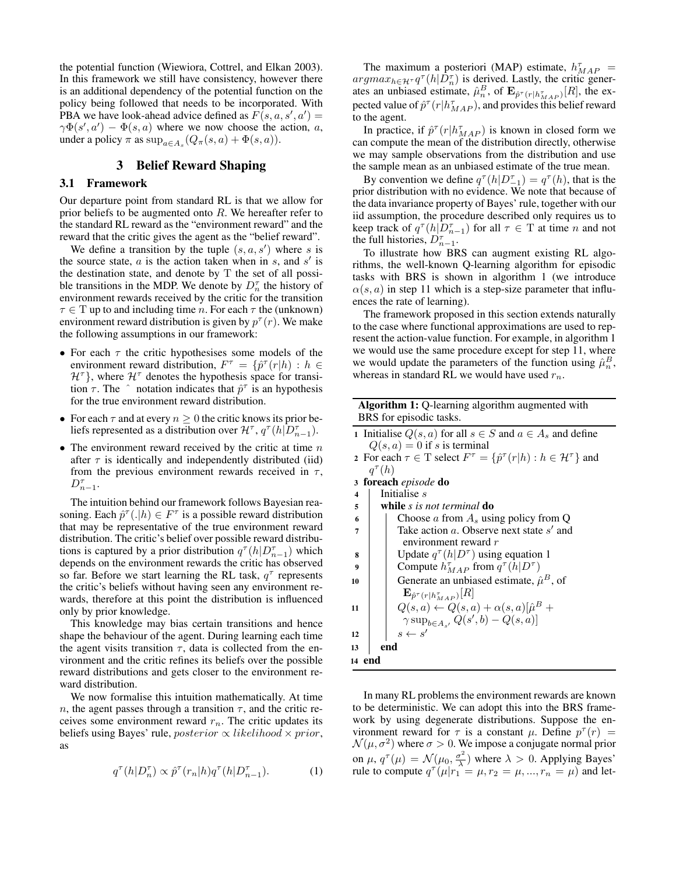the potential function (Wiewiora, Cottrel, and Elkan 2003). In this framework we still have consistency, however there is an additional dependency of the potential function on the policy being followed that needs to be incorporated. With PBA we have look-ahead advice defined as  $F(s, a, s', a') =$  $\gamma \Phi(s', a') - \Phi(s, a)$  where we now choose the action, a, under a policy  $\pi$  as  $\sup_{a \in A_s} (Q_{\pi}(s, a) + \Phi(s, a)).$ 

# 3 Belief Reward Shaping

#### 3.1 Framework

Our departure point from standard RL is that we allow for prior beliefs to be augmented onto  $R$ . We hereafter refer to the standard RL reward as the "environment reward" and the reward that the critic gives the agent as the "belief reward".

We define a transition by the tuple  $(s, a, s')$  where s is the source state,  $a$  is the action taken when in  $s$ , and  $s'$  is the destination state, and denote by T the set of all possible transitions in the MDP. We denote by  $D_n^{\tau}$  the history of environment rewards received by the critic for the transition  $\tau \in T$  up to and including time *n*. For each  $\tau$  the (unknown) environment reward distribution is given by  $p^{\tau}(r)$ . We make the following assumptions in our framework:

- For each  $\tau$  the critic hypothesises some models of the environment reward distribution,  $F^{\tau} = \{ \hat{p}^{\tau}(r|h) : h \in$  $\mathcal{H}^{\tau}$ , where  $\mathcal{H}^{\tau}$  denotes the hypothesis space for transition  $\tau$ . The  $\hat{ }$  notation indicates that  $\hat{p}^{\tau}$  is an hypothesis for the true environment reward distribution.
- For each  $\tau$  and at every  $n \geq 0$  the critic knows its prior beliefs represented as a distribution over  $\mathcal{H}^{\tau}$ ,  $q^{\tau}(h|D_{n-1}^{\tau})$ .
- The environment reward received by the critic at time  $n$ after  $\tau$  is identically and independently distributed (iid) from the previous environment rewards received in  $\tau$ ,  $D_{n-1}^{\tau}$ .

The intuition behind our framework follows Bayesian reasoning. Each  $\hat{p}^{\tau}(.|h) \in F^{\tau}$  is a possible reward distribution that may be representative of the true environment reward distribution. The critic's belief over possible reward distributions is captured by a prior distribution  $q^{\tau}(h|D_{n-1}^{\tau})$  which depends on the environment rewards the critic has observed so far. Before we start learning the RL task,  $q^{\tau}$  represents the critic's beliefs without having seen any environment rewards, therefore at this point the distribution is influenced only by prior knowledge.

This knowledge may bias certain transitions and hence shape the behaviour of the agent. During learning each time the agent visits transition  $\tau$ , data is collected from the environment and the critic refines its beliefs over the possible reward distributions and gets closer to the environment reward distribution.

We now formalise this intuition mathematically. At time n, the agent passes through a transition  $\tau$ , and the critic receives some environment reward  $r_n$ . The critic updates its beliefs using Bayes' rule, *posterior*  $\propto$  *likelihood*  $\times$  *prior*, as

$$
q^{\tau}(h|D_n^{\tau}) \propto \hat{p}^{\tau}(r_n|h)q^{\tau}(h|D_{n-1}^{\tau}). \tag{1}
$$

The maximum a posteriori (MAP) estimate,  $h_{MAP}^{\tau}$  =  $argmax_{h \in \mathcal{H}^{\tau}} q^{\tau}(h|\tilde{D}_{n}^{\tau})$  is derived. Lastly, the critic generates an unbiased estimate,  $\hat{\mu}_n^B$ , of  $\mathbf{E}_{\hat{p}^{\tau}(r|h_{MAP}^{\tau})}[R]$ , the expected value of  $\hat{p}^{\tau}(r|h_{MAP}^{\tau})$ , and provides this belief reward to the agent.

In practice, if  $\hat{p}^{\tau}(r|h_{MAP}^{\tau})$  is known in closed form we can compute the mean of the distribution directly, otherwise we may sample observations from the distribution and use the sample mean as an unbiased estimate of the true mean.

By convention we define  $q^{\tau}(h|D^{\tau}_{-1}) = q^{\tau}(h)$ , that is the prior distribution with no evidence. We note that because of the data invariance property of Bayes' rule, together with our iid assumption, the procedure described only requires us to keep track of  $q^{\tau}(h|D_{n-1}^{\tau})$  for all  $\tau \in \mathcal{T}$  at time n and not the full histories,  $D_{n-1}^{\tau}$ .

To illustrate how BRS can augment existing RL algorithms, the well-known Q-learning algorithm for episodic tasks with BRS is shown in algorithm 1 (we introduce  $\alpha(s, a)$  in step 11 which is a step-size parameter that influences the rate of learning).

The framework proposed in this section extends naturally to the case where functional approximations are used to represent the action-value function. For example, in algorithm 1 we would use the same procedure except for step 11, where we would update the parameters of the function using  $\hat{\mu}_n^B$ , whereas in standard RL we would have used  $r_n$ .

| <b>Algorithm 1:</b> Q-learning algorithm augmented with |  |  |
|---------------------------------------------------------|--|--|
| BRS for episodic tasks.                                 |  |  |

| 1 Initialise $Q(s, a)$ for all $s \in S$ and $a \in A_s$ and define                                  |
|------------------------------------------------------------------------------------------------------|
| $Q(s, a) = 0$ if s is terminal                                                                       |
| 2 For each $\tau \in T$ select $F^{\tau} = \{ \hat{p}^{\tau}(r h) : h \in \mathcal{H}^{\tau} \}$ and |
| $q^{\tau}(h)$                                                                                        |
| 3 foreach episode do                                                                                 |
| $4$   Initialise s                                                                                   |

| 5 |  |  |  |  | while s is not terminal do |  |
|---|--|--|--|--|----------------------------|--|
|---|--|--|--|--|----------------------------|--|

- 6 Choose a from  $A_s$  using policy from Q
- $7 \mid$  Take action a. Observe next state s' and environment reward r
- **8** Update  $q^{\tau}(h|D^{\tau})$  using equation 1
- 9 Compute  $h_{MAP}^{\tau}$  from  $q^{\tau}(h|D^{\tau})$

| 10 | Generate an unbiased estimate, $\hat{\mu}^B$ , of      |
|----|--------------------------------------------------------|
|    | $\mathbf{E}_{\hat{p}^{\tau}(r h_{MAP}^{\tau})}[R]$     |
| 11 | $Q(s,a) \leftarrow Q(s,a) + \alpha(s,a)[\hat{\mu}^B +$ |
|    | $\gamma \sup_{b \in A_{s'}} Q(s', b) - Q(s, a)]$       |
| 12 | $s \leftarrow s'$                                      |
| 13 | end                                                    |
| 14 |                                                        |

In many RL problems the environment rewards are known to be deterministic. We can adopt this into the BRS framework by using degenerate distributions. Suppose the environment reward for  $\tau$  is a constant  $\mu$ . Define  $p^{\tau}(r)$  =  $\mathcal{N}(\mu, \sigma^2)$  where  $\sigma > 0$ . We impose a conjugate normal prior on  $\mu$ ,  $q^{\tau}(\mu) = \mathcal{N}(\mu_0, \frac{\sigma^2}{\lambda})$  $\frac{\partial^2}{\partial \lambda}$ ) where  $\lambda > 0$ . Applying Bayes' rule to compute  $q^{\tau}(\mu|r_1 = \mu, r_2 = \mu, ..., r_n = \mu)$  and let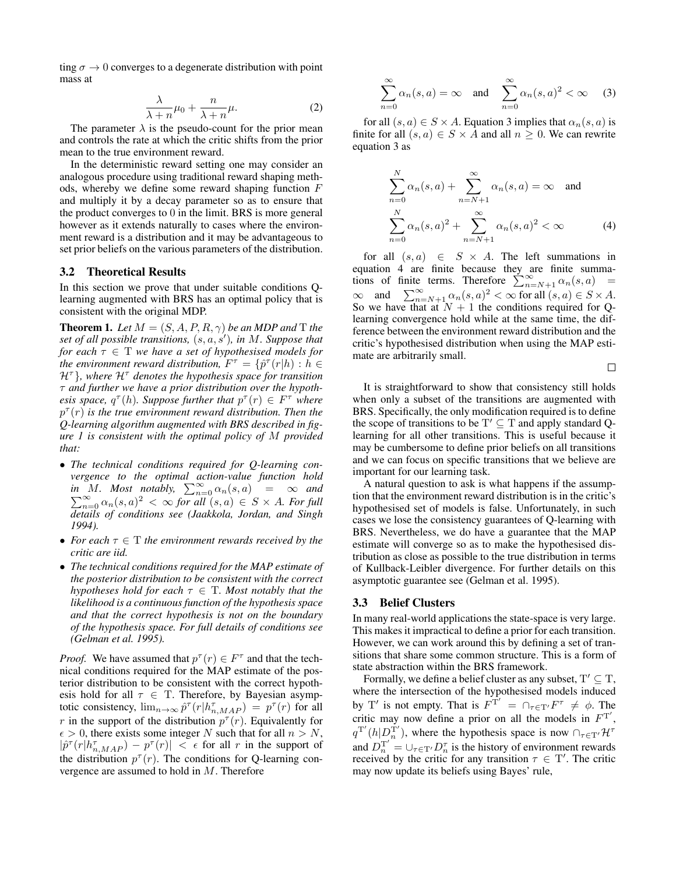ting  $\sigma \to 0$  converges to a degenerate distribution with point mass at

$$
\frac{\lambda}{\lambda + n}\mu_0 + \frac{n}{\lambda + n}\mu.
$$
 (2)

The parameter  $\lambda$  is the pseudo-count for the prior mean and controls the rate at which the critic shifts from the prior mean to the true environment reward.

In the deterministic reward setting one may consider an analogous procedure using traditional reward shaping methods, whereby we define some reward shaping function  $F$ and multiply it by a decay parameter so as to ensure that the product converges to 0 in the limit. BRS is more general however as it extends naturally to cases where the environment reward is a distribution and it may be advantageous to set prior beliefs on the various parameters of the distribution.

#### 3.2 Theoretical Results

In this section we prove that under suitable conditions Qlearning augmented with BRS has an optimal policy that is consistent with the original MDP.

**Theorem 1.** *Let*  $M = (S, A, P, R, \gamma)$  *be an MDP and* T *the set of all possible transitions,*  $(s, a, s')$ *, in M. Suppose that for each*  $\tau \in T$  *we have a set of hypothesised models for the environment reward distribution,*  $F^{\tau} = \{ \hat{p}^{\tau}(r|h) : h \in$  $H^{\tau}$ *}, where*  $H^{\tau}$  *denotes the hypothesis space for transition* τ *and further we have a prior distribution over the hypothesis space,*  $q^{\tau}(h)$ *. Suppose further that*  $p^{\tau}(r) \in F^{\tau}$  where  $p^{\tau}(r)$  is the true environment reward distribution. Then the *Q-learning algorithm augmented with BRS described in figure 1 is consistent with the optimal policy of* M *provided that:*

- *The technical conditions required for Q-learning convergence to the optimal action-value function hold in M.* Most notably,  $\sum_{n=0}^{\infty} \alpha_n(s, a) = \infty$  and in M. Most notably,  $\sum_{n=0}^{\infty} \alpha_n(s, a) = \infty$  and  $\sum_{n=0}^{\infty} \alpha_n(s, a)^2 < \infty$  for all  $(s, a) \in S \times A$ *. For full details of conditions see (Jaakkola, Jordan, and Singh 1994).*
- *For each*  $\tau \in T$  *the environment rewards received by the critic are iid.*
- *The technical conditions required for the MAP estimate of the posterior distribution to be consistent with the correct hypotheses hold for each*  $\tau \in T$ *. Most notably that the likelihood is a continuous function of the hypothesis space and that the correct hypothesis is not on the boundary of the hypothesis space. For full details of conditions see (Gelman et al. 1995).*

*Proof.* We have assumed that  $p^{\tau}(r) \in F^{\tau}$  and that the technical conditions required for the MAP estimate of the posterior distribution to be consistent with the correct hypothesis hold for all  $\tau \in$  T. Therefore, by Bayesian asymptotic consistency,  $\lim_{n\to\infty} \hat{p}^{\tau}(r|h_{n,MAP}^{\tau}) = p^{\tau}(r)$  for all r in the support of the distribution  $p^{\tau}(r)$ . Equivalently for  $\epsilon > 0$ , there exists some integer N such that for all  $n > N$ ,  $|\hat{p}^{\tau}(r|h_{n,MAP}^{\tau}) - p^{\tau}(r)| < \epsilon$  for all r in the support of the distribution  $p^{\tau}(r)$ . The conditions for Q-learning convergence are assumed to hold in M. Therefore

$$
\sum_{n=0}^{\infty} \alpha_n(s, a) = \infty \quad \text{and} \quad \sum_{n=0}^{\infty} \alpha_n(s, a)^2 < \infty \quad (3)
$$

for all  $(s, a) \in S \times A$ . Equation 3 implies that  $\alpha_n(s, a)$  is finite for all  $(s, a) \in S \times A$  and all  $n \geq 0$ . We can rewrite equation 3 as

$$
\sum_{n=0}^{N} \alpha_n(s, a) + \sum_{n=N+1}^{\infty} \alpha_n(s, a) = \infty \text{ and}
$$
  

$$
\sum_{n=0}^{N} \alpha_n(s, a)^2 + \sum_{n=N+1}^{\infty} \alpha_n(s, a)^2 < \infty
$$
 (4)

for all  $(s, a) \in S \times A$ . The left summations in equation 4 are finite because they are finite summations of finite terms. Therefore  $\sum_{n=N+1}^{\infty} \alpha_n(s, a)$  =  $\infty$  and  $\sum_{n=N+1}^{\infty} \alpha_n(s, a)^2 < \infty$  for all  $(s, a) \in S \times A$ . So we have that at  $N + 1$  the conditions required for Qlearning convergence hold while at the same time, the difference between the environment reward distribution and the critic's hypothesised distribution when using the MAP estimate are arbitrarily small.

 $\Box$ 

It is straightforward to show that consistency still holds when only a subset of the transitions are augmented with BRS. Specifically, the only modification required is to define the scope of transitions to be  $T' \subseteq T$  and apply standard Qlearning for all other transitions. This is useful because it may be cumbersome to define prior beliefs on all transitions and we can focus on specific transitions that we believe are important for our learning task.

A natural question to ask is what happens if the assumption that the environment reward distribution is in the critic's hypothesised set of models is false. Unfortunately, in such cases we lose the consistency guarantees of Q-learning with BRS. Nevertheless, we do have a guarantee that the MAP estimate will converge so as to make the hypothesised distribution as close as possible to the true distribution in terms of Kullback-Leibler divergence. For further details on this asymptotic guarantee see (Gelman et al. 1995).

#### 3.3 Belief Clusters

In many real-world applications the state-space is very large. This makes it impractical to define a prior for each transition. However, we can work around this by defining a set of transitions that share some common structure. This is a form of state abstraction within the BRS framework.

Formally, we define a belief cluster as any subset,  $T' \subseteq T$ , where the intersection of the hypothesised models induced by T' is not empty. That is  $F^{\mathbf{T}'} = \bigcap_{\tau \in \mathbf{T}'} F^{\tau} \neq \emptyset$ . The critic may now define a prior on all the models in  $F<sup>T'</sup>$ ,  $q^{T'}(h|D_n^{T'})$ , where the hypothesis space is now  $\bigcap_{\tau \in T'} \mathcal{H}^{\tau}$ and  $D_n^{T'} = \bigcup_{\tau \in T'} D_n^{\tau}$  is the history of environment rewards received by the critic for any transition  $\tau \in T'$ . The critic may now update its beliefs using Bayes' rule,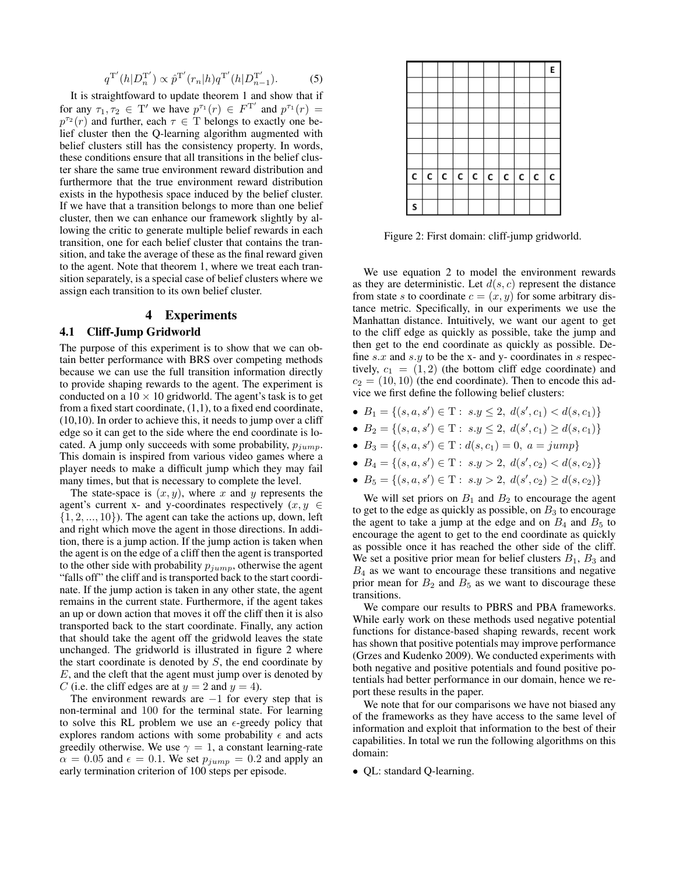$$
q^{\mathrm{T}'}(h|D_n^{\mathrm{T}'}) \propto \hat{p}^{\mathrm{T}'}(r_n|h)q^{\mathrm{T}'}(h|D_{n-1}^{\mathrm{T}'}).
$$
 (5)

It is straightfoward to update theorem 1 and show that if for any  $\tau_1, \tau_2 \in T'$  we have  $p^{\tau_1}(r) \in F^{T'}$  and  $p^{\tau_1}(r) =$  $p^{\tau_2}(r)$  and further, each  $\tau \in \overline{T}$  belongs to exactly one belief cluster then the Q-learning algorithm augmented with belief clusters still has the consistency property. In words, these conditions ensure that all transitions in the belief cluster share the same true environment reward distribution and furthermore that the true environment reward distribution exists in the hypothesis space induced by the belief cluster. If we have that a transition belongs to more than one belief cluster, then we can enhance our framework slightly by allowing the critic to generate multiple belief rewards in each transition, one for each belief cluster that contains the transition, and take the average of these as the final reward given to the agent. Note that theorem 1, where we treat each transition separately, is a special case of belief clusters where we assign each transition to its own belief cluster.

# 4 Experiments

### 4.1 Cliff-Jump Gridworld

The purpose of this experiment is to show that we can obtain better performance with BRS over competing methods because we can use the full transition information directly to provide shaping rewards to the agent. The experiment is conducted on a  $10 \times 10$  gridworld. The agent's task is to get from a fixed start coordinate, (1,1), to a fixed end coordinate, (10,10). In order to achieve this, it needs to jump over a cliff edge so it can get to the side where the end coordinate is located. A jump only succeeds with some probability,  $p_{jump}$ . This domain is inspired from various video games where a player needs to make a difficult jump which they may fail many times, but that is necessary to complete the level.

The state-space is  $(x, y)$ , where x and y represents the agent's current x- and y-coordinates respectively  $(x, y) \in$  $\{1, 2, ..., 10\}$ ). The agent can take the actions up, down, left and right which move the agent in those directions. In addition, there is a jump action. If the jump action is taken when the agent is on the edge of a cliff then the agent is transported to the other side with probability  $p_{jump}$ , otherwise the agent "falls off" the cliff and is transported back to the start coordinate. If the jump action is taken in any other state, the agent remains in the current state. Furthermore, if the agent takes an up or down action that moves it off the cliff then it is also transported back to the start coordinate. Finally, any action that should take the agent off the gridwold leaves the state unchanged. The gridworld is illustrated in figure 2 where the start coordinate is denoted by  $S$ , the end coordinate by E, and the cleft that the agent must jump over is denoted by C (i.e. the cliff edges are at  $y = 2$  and  $y = 4$ ).

The environment rewards are  $-1$  for every step that is non-terminal and 100 for the terminal state. For learning to solve this RL problem we use an  $\epsilon$ -greedy policy that explores random actions with some probability  $\epsilon$  and acts greedily otherwise. We use  $\gamma = 1$ , a constant learning-rate  $\alpha = 0.05$  and  $\epsilon = 0.1$ . We set  $p_{jump} = 0.2$  and apply an early termination criterion of 100 steps per episode.



Figure 2: First domain: cliff-jump gridworld.

We use equation 2 to model the environment rewards as they are deterministic. Let  $d(s, c)$  represent the distance from state s to coordinate  $c = (x, y)$  for some arbitrary distance metric. Specifically, in our experiments we use the Manhattan distance. Intuitively, we want our agent to get to the cliff edge as quickly as possible, take the jump and then get to the end coordinate as quickly as possible. Define  $s.x$  and  $s.y$  to be the x- and y- coordinates in s respectively,  $c_1 = (1, 2)$  (the bottom cliff edge coordinate) and  $c_2 = (10, 10)$  (the end coordinate). Then to encode this advice we first define the following belief clusters:

- $B_1 = \{(s, a, s') \in T : s.y \leq 2, d(s', c_1) < d(s, c_1)\}\$
- $B_2 = \{(s, a, s') \in T : s.y \leq 2, d(s', c_1) \geq d(s, c_1)\}\$
- $B_3 = \{(s, a, s') \in T : d(s, c_1) = 0, a = jump\}$
- $B_4 = \{(s, a, s') \in T : s.y > 2, d(s', c_2) < d(s, c_2)\}\$
- $B_5 = \{(s, a, s') \in \mathcal{T} : s.y > 2, d(s', c_2) \ge d(s, c_2)\}\$

We will set priors on  $B_1$  and  $B_2$  to encourage the agent to get to the edge as quickly as possible, on  $B_3$  to encourage the agent to take a jump at the edge and on  $B_4$  and  $B_5$  to encourage the agent to get to the end coordinate as quickly as possible once it has reached the other side of the cliff. We set a positive prior mean for belief clusters  $B_1$ ,  $B_3$  and  $B_4$  as we want to encourage these transitions and negative prior mean for  $B_2$  and  $B_5$  as we want to discourage these transitions.

We compare our results to PBRS and PBA frameworks. While early work on these methods used negative potential functions for distance-based shaping rewards, recent work has shown that positive potentials may improve performance (Grzes and Kudenko 2009). We conducted experiments with both negative and positive potentials and found positive potentials had better performance in our domain, hence we report these results in the paper.

We note that for our comparisons we have not biased any of the frameworks as they have access to the same level of information and exploit that information to the best of their capabilities. In total we run the following algorithms on this domain:

• QL: standard Q-learning.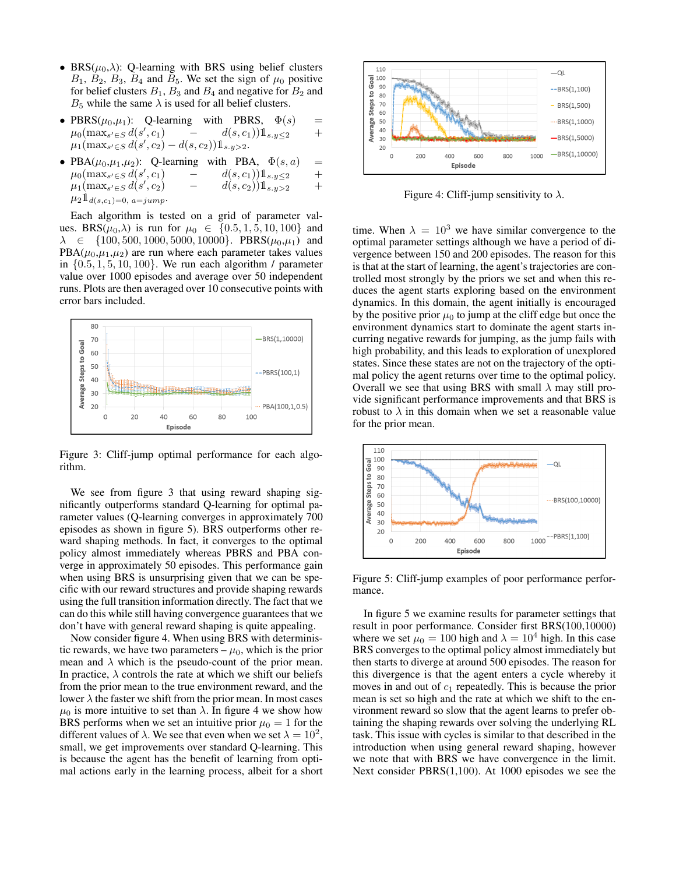- BRS( $\mu_0, \lambda$ ): Q-learning with BRS using belief clusters  $B_1$ ,  $B_2$ ,  $B_3$ ,  $B_4$  and  $B_5$ . We set the sign of  $\mu_0$  positive for belief clusters  $B_1$ ,  $B_3$  and  $B_4$  and negative for  $B_2$  and  $B_5$  while the same  $\lambda$  is used for all belief clusters.
- PBRS( $\mu_0, \mu_1$ ): Q-learning with PBRS,  $\Phi(s)$  =  $\mu_0(\max_{s' \in S} d(s', c_1)$   $d(s, c_1)$ )  $\mathbb{1}_{s, y \leq 2}$  +  $\mu_0(\max_{s' \in S} d(s')$  $d(s, c_1)$   $\mathbb{1}_{s,y \leq 2}$  $\mu_1(\max_{s' \in S} d(s', c_2) - d(s, c_2))1_{s,y>2}.$
- PBA( $\mu_0, \mu_1, \mu_2$ ): Q-learning with PBA,  $\Phi(s, a)$  =  $\mu_0(\max_{s' \in S} d(s')$  $d(s, c_1)$   $\mathbb{1}_{s,y \leq 2}$  +  $\mu_1(\max_{s' \in S} d(s')$  $d(s, c_2)$  $\mathbb{1}_{s,y>2}$  +  $\mu_2 \mathbb{1}_{d(s,c_1)=0, a=jump}$

Each algorithm is tested on a grid of parameter values. BRS( $\mu_0$ , $\lambda$ ) is run for  $\mu_0 \in \{0.5, 1, 5, 10, 100\}$  and  $\lambda \in \{100, 500, 1000, 5000, 10000\}$ . PBRS $(\mu_0, \mu_1)$  and  $PBA(\mu_0,\mu_1,\mu_2)$  are run where each parameter takes values in  $\{0.5, 1, 5, 10, 100\}$ . We run each algorithm / parameter value over 1000 episodes and average over 50 independent runs. Plots are then averaged over 10 consecutive points with error bars included.



Figure 3: Cliff-jump optimal performance for each algorithm.

We see from figure 3 that using reward shaping significantly outperforms standard Q-learning for optimal parameter values (Q-learning converges in approximately 700 episodes as shown in figure 5). BRS outperforms other reward shaping methods. In fact, it converges to the optimal policy almost immediately whereas PBRS and PBA converge in approximately 50 episodes. This performance gain when using BRS is unsurprising given that we can be specific with our reward structures and provide shaping rewards using the full transition information directly. The fact that we can do this while still having convergence guarantees that we don't have with general reward shaping is quite appealing.

Now consider figure 4. When using BRS with deterministic rewards, we have two parameters  $-\mu_0$ , which is the prior mean and  $\lambda$  which is the pseudo-count of the prior mean. In practice,  $\lambda$  controls the rate at which we shift our beliefs from the prior mean to the true environment reward, and the lower  $\lambda$  the faster we shift from the prior mean. In most cases  $\mu_0$  is more intuitive to set than  $\lambda$ . In figure 4 we show how BRS performs when we set an intuitive prior  $\mu_0 = 1$  for the different values of  $\lambda$ . We see that even when we set  $\lambda = 10^2$ , small, we get improvements over standard Q-learning. This is because the agent has the benefit of learning from optimal actions early in the learning process, albeit for a short



Figure 4: Cliff-jump sensitivity to  $\lambda$ .

time. When  $\lambda = 10^3$  we have similar convergence to the optimal parameter settings although we have a period of divergence between 150 and 200 episodes. The reason for this is that at the start of learning, the agent's trajectories are controlled most strongly by the priors we set and when this reduces the agent starts exploring based on the environment dynamics. In this domain, the agent initially is encouraged by the positive prior  $\mu_0$  to jump at the cliff edge but once the environment dynamics start to dominate the agent starts incurring negative rewards for jumping, as the jump fails with high probability, and this leads to exploration of unexplored states. Since these states are not on the trajectory of the optimal policy the agent returns over time to the optimal policy. Overall we see that using BRS with small  $\lambda$  may still provide significant performance improvements and that BRS is robust to  $\lambda$  in this domain when we set a reasonable value for the prior mean.



Figure 5: Cliff-jump examples of poor performance performance.

In figure 5 we examine results for parameter settings that result in poor performance. Consider first BRS(100,10000) where we set  $\mu_0 = 100$  high and  $\lambda = 10^4$  high. In this case BRS converges to the optimal policy almost immediately but then starts to diverge at around 500 episodes. The reason for this divergence is that the agent enters a cycle whereby it moves in and out of  $c_1$  repeatedly. This is because the prior mean is set so high and the rate at which we shift to the environment reward so slow that the agent learns to prefer obtaining the shaping rewards over solving the underlying RL task. This issue with cycles is similar to that described in the introduction when using general reward shaping, however we note that with BRS we have convergence in the limit. Next consider PBRS(1,100). At 1000 episodes we see the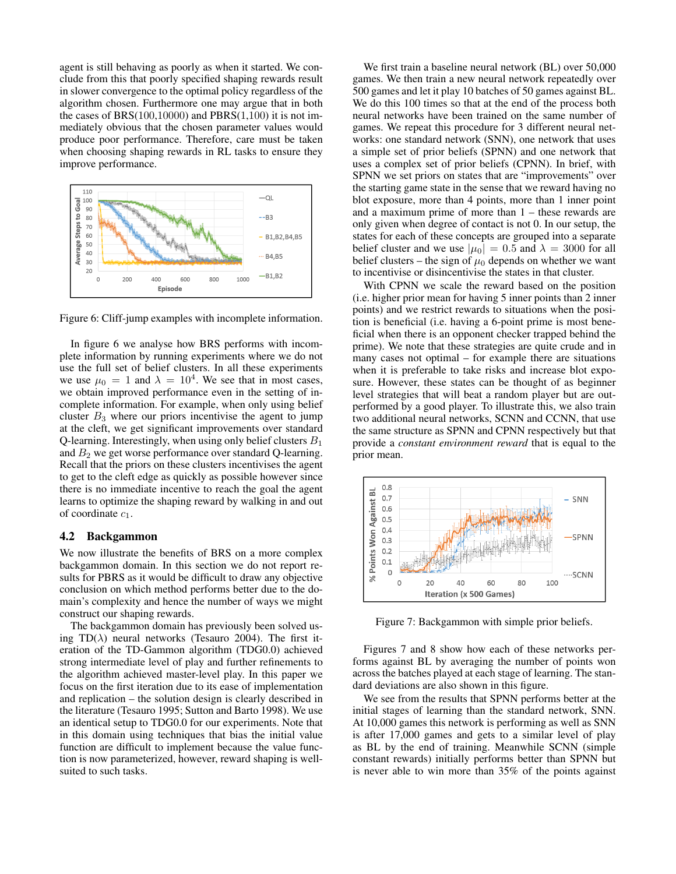agent is still behaving as poorly as when it started. We conclude from this that poorly specified shaping rewards result in slower convergence to the optimal policy regardless of the algorithm chosen. Furthermore one may argue that in both the cases of BRS $(100,10000)$  and PBRS $(1,100)$  it is not immediately obvious that the chosen parameter values would produce poor performance. Therefore, care must be taken when choosing shaping rewards in RL tasks to ensure they improve performance.



Figure 6: Cliff-jump examples with incomplete information.

In figure 6 we analyse how BRS performs with incomplete information by running experiments where we do not use the full set of belief clusters. In all these experiments we use  $\mu_0 = 1$  and  $\lambda = 10^4$ . We see that in most cases, we obtain improved performance even in the setting of incomplete information. For example, when only using belief cluster  $B_3$  where our priors incentivise the agent to jump at the cleft, we get significant improvements over standard Q-learning. Interestingly, when using only belief clusters  $B_1$ and  $B_2$  we get worse performance over standard Q-learning. Recall that the priors on these clusters incentivises the agent to get to the cleft edge as quickly as possible however since there is no immediate incentive to reach the goal the agent learns to optimize the shaping reward by walking in and out of coordinate  $c_1$ .

### 4.2 Backgammon

We now illustrate the benefits of BRS on a more complex backgammon domain. In this section we do not report results for PBRS as it would be difficult to draw any objective conclusion on which method performs better due to the domain's complexity and hence the number of ways we might construct our shaping rewards.

The backgammon domain has previously been solved using TD( $\lambda$ ) neural networks (Tesauro 2004). The first iteration of the TD-Gammon algorithm (TDG0.0) achieved strong intermediate level of play and further refinements to the algorithm achieved master-level play. In this paper we focus on the first iteration due to its ease of implementation and replication – the solution design is clearly described in the literature (Tesauro 1995; Sutton and Barto 1998). We use an identical setup to TDG0.0 for our experiments. Note that in this domain using techniques that bias the initial value function are difficult to implement because the value function is now parameterized, however, reward shaping is wellsuited to such tasks.

We first train a baseline neural network (BL) over 50,000 games. We then train a new neural network repeatedly over 500 games and let it play 10 batches of 50 games against BL. We do this 100 times so that at the end of the process both neural networks have been trained on the same number of games. We repeat this procedure for 3 different neural networks: one standard network (SNN), one network that uses a simple set of prior beliefs (SPNN) and one network that uses a complex set of prior beliefs (CPNN). In brief, with SPNN we set priors on states that are "improvements" over the starting game state in the sense that we reward having no blot exposure, more than 4 points, more than 1 inner point and a maximum prime of more than 1 – these rewards are only given when degree of contact is not 0. In our setup, the states for each of these concepts are grouped into a separate belief cluster and we use  $|\mu_0| = 0.5$  and  $\lambda = 3000$  for all belief clusters – the sign of  $\mu_0$  depends on whether we want to incentivise or disincentivise the states in that cluster.

With CPNN we scale the reward based on the position (i.e. higher prior mean for having 5 inner points than 2 inner points) and we restrict rewards to situations when the position is beneficial (i.e. having a 6-point prime is most beneficial when there is an opponent checker trapped behind the prime). We note that these strategies are quite crude and in many cases not optimal – for example there are situations when it is preferable to take risks and increase blot exposure. However, these states can be thought of as beginner level strategies that will beat a random player but are outperformed by a good player. To illustrate this, we also train two additional neural networks, SCNN and CCNN, that use the same structure as SPNN and CPNN respectively but that provide a *constant environment reward* that is equal to the prior mean.



Figure 7: Backgammon with simple prior beliefs.

Figures 7 and 8 show how each of these networks performs against BL by averaging the number of points won across the batches played at each stage of learning. The standard deviations are also shown in this figure.

We see from the results that SPNN performs better at the initial stages of learning than the standard network, SNN. At 10,000 games this network is performing as well as SNN is after 17,000 games and gets to a similar level of play as BL by the end of training. Meanwhile SCNN (simple constant rewards) initially performs better than SPNN but is never able to win more than 35% of the points against